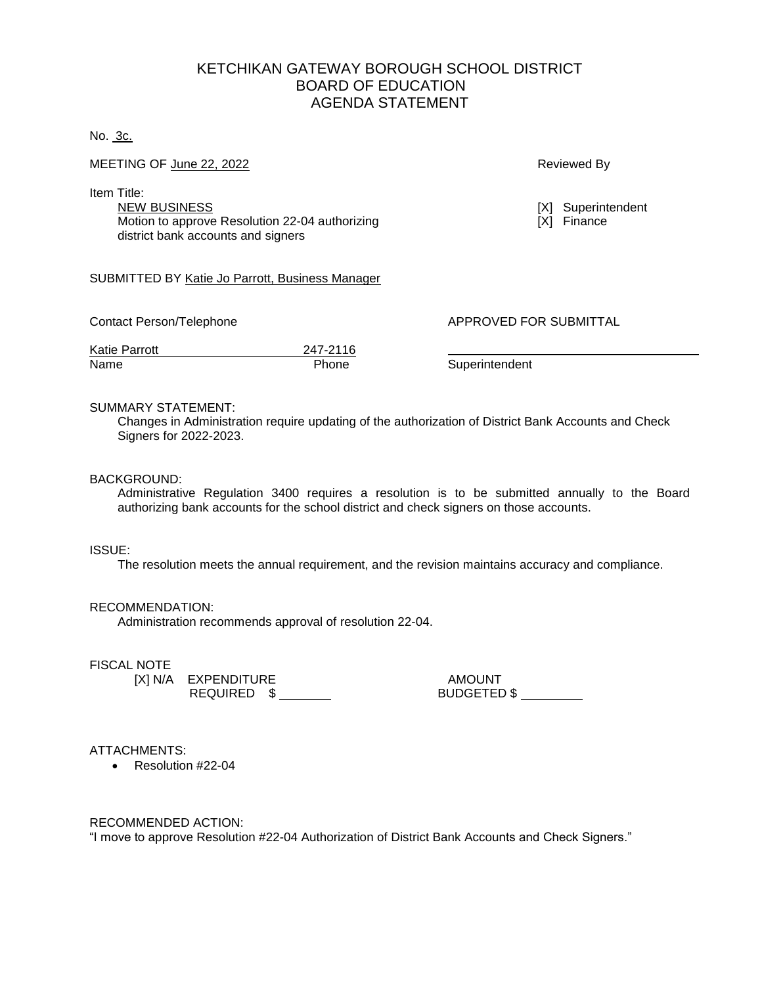# KETCHIKAN GATEWAY BOROUGH SCHOOL DISTRICT BOARD OF EDUCATION AGENDA STATEMENT

### No. 3c.

MEETING OF <u>June 22, 2022</u> And the state of the state of the state of the state of the state of the state of the state of the state of the state of the state of the state of the state of the state of the state of the state

Item Title:

NEW BUSINESS<br>
Motion to approve Resolution 22-04 authorizing<br>
Motion to approve Resolution 22-04 authorizing<br>
(X) Finance Motion to approve Resolution 22-04 authorizing district bank accounts and signers

### SUBMITTED BY Katie Jo Parrott, Business Manager

Contact Person/Telephone **APPROVED FOR SUBMITTAL** 

Katie Parrott 247-2116 Name **Phone** Superintendent

#### SUMMARY STATEMENT:

Changes in Administration require updating of the authorization of District Bank Accounts and Check Signers for 2022-2023.

## BACKGROUND:

Administrative Regulation 3400 requires a resolution is to be submitted annually to the Board authorizing bank accounts for the school district and check signers on those accounts.

#### ISSUE:

The resolution meets the annual requirement, and the revision maintains accuracy and compliance.

#### RECOMMENDATION:

Administration recommends approval of resolution 22-04.

## FISCAL NOTE

EXPENDITURE<br>REQUIRED \$

[X] N/A EXPENDITURE AMOUNT

ATTACHMENTS:

• Resolution #22-04

RECOMMENDED ACTION:

"I move to approve Resolution #22-04 Authorization of District Bank Accounts and Check Signers."